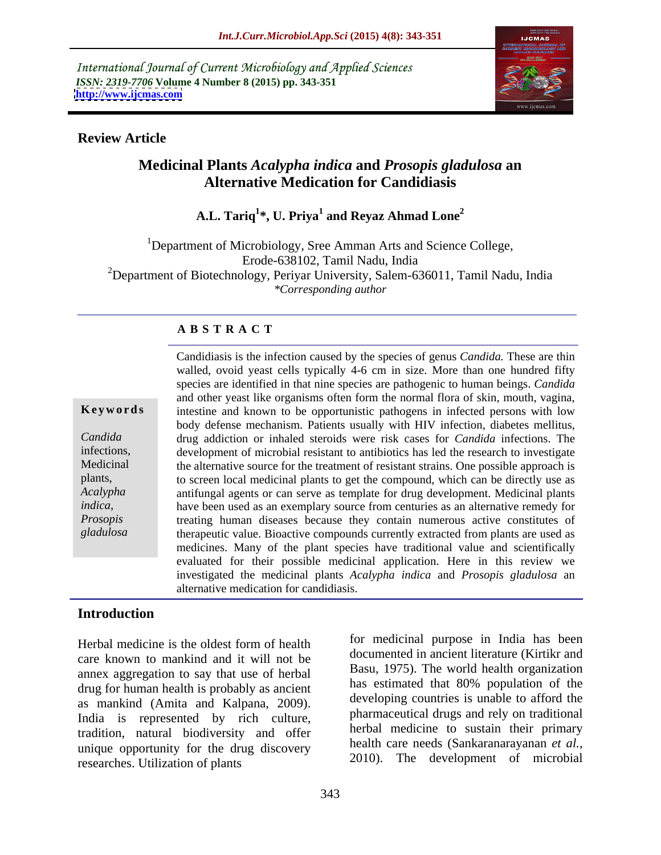International Journal of Current Microbiology and Applied Sciences *ISSN: 2319-7706* **Volume 4 Number 8 (2015) pp. 343-351 <http://www.ijcmas.com>**



## **Review Article**

# **Medicinal Plants** *Acalypha indica* **and** *Prosopis gladulosa* **an Alternative Medication for Candidiasis**

# **A.L. Tariq<sup>1</sup> \*, U. Priya<sup>1</sup> and Reyaz Ahmad Lone<sup>2</sup>**

<sup>1</sup>Department of Microbiology, Sree Amman Arts and Science College, Erode-638102, Tamil Nadu, India <sup>2</sup>Department of Biotechnology, Periyar University, Salem-636011, Tamil Nadu, India *\*Corresponding author*

## **A B S T R A C T**

*gladulosa*

Candidiasis is the infection caused by the species of genus *Candida.* These are thin walled, ovoid yeast cells typically 4-6 cm in size. More than one hundred fifty species are identified in that nine species are pathogenic to human beings. *Candida*  and other yeast like organisms often form the normal flora of skin, mouth, vagina, **Keywords** intestine and known to be opportunistic pathogens in infected persons with low body defense mechanism. Patients usually with HIV infection, diabetes mellitus, drug addiction or inhaled steroids were risk cases for *Candida* infections. The *Candida* development of microbial resistant to antibiotics has led the research to investigate infections, Medicinal the alternative source for the treatment of resistant strains. One possible approach is to screen local medicinal plants to get the compound, which can be directly use as plants, antifungal agents or can serve as template for drug development. Medicinal plants *Acalypha*  have been used as an exemplary source from centuries as an alternative remedy for *indica,*  treating human diseases because they contain numerous active constitutes of *Prosopis*  therapeutic value. Bioactive compounds currently extracted from plants are used as medicines. Many of the plant species have traditional value and scientifically evaluated for their possible medicinal application. Here in this review we investigated the medicinal plants *Acalypha indica* and *Prosopis gladulosa* an alternative medication for candidiasis.

## **Introduction**

care known to mankind and it will not be annex aggregation to say that use of herbal drug for human health is probably as ancient as mankind (Amita and Kalpana, 2009). India is represented by rich culture, tradition, natural biodiversity and offer unique opportunity for the drug discovery researches. Utilization of plants

Herbal medicine is the oldest form of health lor medicinal purpose in india has been for medicinal purpose in India has been documented in ancient literature (Kirtikr and Basu, 1975). The world health organization has estimated that 80% population of the developing countries is unable to afford the pharmaceutical drugs and rely on traditional herbal medicine to sustain their primary health care needs (Sankaranarayanan *et al.,* 2010). The development of microbial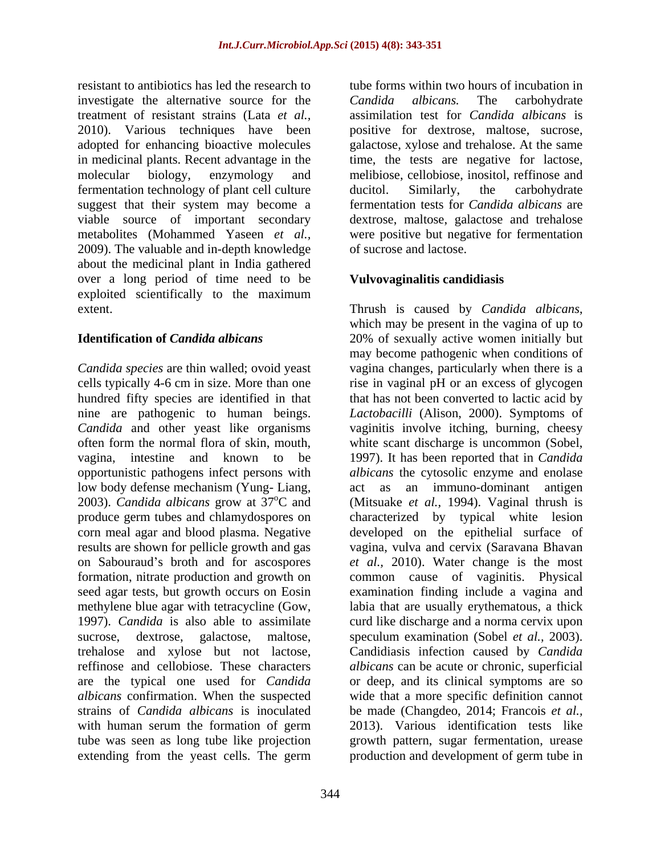resistant to antibiotics has led the research to investigate the alternative source for the Candida albicans. The carbohydrate treatment of resistant strains (Lata *et al.,* assimilation test for *Candida albicans* is 2010). Various techniques have been positive for dextrose, maltose, sucrose, adopted for enhancing bioactive molecules galactose, xylose and trehalose. At the same in medicinal plants. Recent advantage in the time, the tests are negative for lactose, molecular biology, enzymology and melibiose, cellobiose, inositol, reffinose and fermentation technology of plant cell culture ducitol. Similarly, the carbohydrate suggest that their system may become a viable source of important secondary dextrose, maltose, galactose and trehalose metabolites (Mohammed Yaseen *et al.,* were positive but negative for fermentation 2009). The valuable and in-depth knowledge about the medicinal plant in India gathered over a long period of time need to be exploited scientifically to the maximum extent. Thrush is caused by *Candida albicans*,

*Candida species* are thin walled; ovoid yeast vagina changes, particularly when there is a cells typically 4-6 cm in size. More than one rise in vaginal pH or an excess of glycogen hundred fifty species are identified in that that has not been converted to lactic acid by nine are pathogenic to human beings. Candida and other yeast like organisms vaginitis involve itching, burning, cheesy often form the normal flora of skin, mouth, white scant discharge is uncommon (Sobel, vagina, intestine and known to be 1997). It has been reported that in *Candida*  opportunistic pathogens infect persons with *albicans* the cytosolic enzyme and enolase low body defense mechanism (Yung-Liang, act as an immuno-dominant antigen 2003). *Candida albicans* grow at 37<sup>o</sup>C and (Mitsuake *et al.,* 1994). Vaginal thrush is produce germ tubes and chlamydospores on characterized by typical white lesion corn meal agar and blood plasma. Negative developed on the epithelial surface of results are shown for pellicle growth and gas vagina, vulva and cervix (Saravana Bhavan on Sabouraud's broth and for ascospores *et al.*, 2010). Water change is the most formation, nitrate production and growth on common cause of vaginitis. Physical seed agar tests, but growth occurs on Eosin methylene blue agar with tetracycline (Gow, labia that are usually erythematous, a thick 1997). *Candida* is also able to assimilate curd like discharge and a norma cervix upon sucrose, dextrose, galactose, maltose, speculum examination (Sobel *et al.*, 2003). trehalose and xylose but not lactose, Candidiasis infection caused by *Candida* reffinose and cellobiose. These characters *albicans*can be acute or chronic, superficial are the typical one used for *Candida*  or deep, and its clinical symptoms are so *albicans* confirmation. When the suspected strains of *Candida albicans* is inoculated be made (Changdeo, 2014; Francois *et al.,* with human serum the formation of germ 2013). Various identification tests like tube was seen as long tube like projection growth pattern, sugar fermentation, urease extending from the yeast cells. The germ production and development of germ tube in

tube forms within two hours of incubation in *Candida albicans.* The carbohydrate ducitol. Similarly, the carbohydrate fermentation tests for *Candida albicans* are of sucrose and lactose.

# **Vulvovaginalitis candidiasis**

**Identification of** *Candida albicans* 20% of sexually active women initially but Thrush is caused by *Candida albicans*, which may be present in the vagina of up to may become pathogenic when conditions of *Lactobacilli* (Alison, 2000). Symptoms of examination finding include a vagina and speculum examination (Sobel *et al.,* 2003). Candidiasis infection caused by *Candida*  wide that a more specific definition cannot 2013). Various identification tests like production and development of germ tube in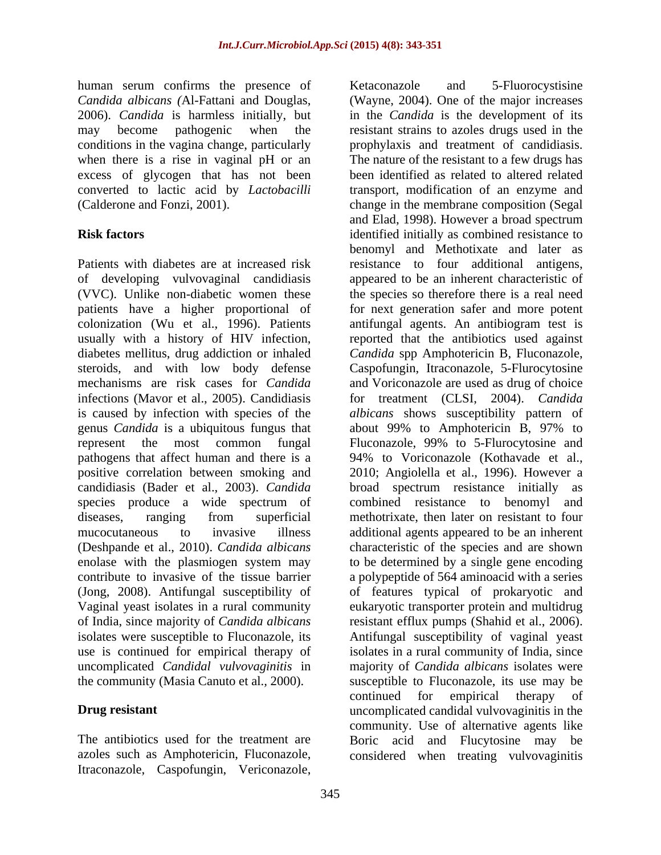human serum confirms the presence of Ketaconazole and 5-Fluorocystisine *Candida albicans (*Al-Fattani and Douglas,

patients have a higher proportional of genus *Candida* is a ubiquitous fungus that uncomplicated *Candidal vulvovaginitis* in

2006). *Candida* is harmless initially, but in the *Candida* is the development of its may become pathogenic when the resistant strains to azoles drugs used in the conditions in the vagina change, particularly prophylaxis and treatment of candidiasis. when there is a rise in vaginal pH or an The nature of the resistant to a few drugs has excess of glycogen that has not been been identified as related to altered related converted to lactic acid by *Lactobacilli* transport, modification of an enzyme and (Calderone and Fonzi, 2001). change in the membrane composition (Segal **Risk factors** identified initially as combined resistance to Patients with diabetes are at increased risk resistance to four additional antigens, of developing vulvovaginal candidiasis appeared to be an inherent characteristic of (VVC). Unlike non-diabetic women these the species so therefore there is a real need colonization (Wu et al., 1996). Patients antifungal agents. An antibiogram test is usually with a history of HIV infection, reported that the antibiotics used against diabetes mellitus, drug addiction or inhaled *Candida* spp Amphotericin B, Fluconazole, steroids, and with low body defense Caspofungin, Itraconazole, 5-Flurocytosine mechanisms are risk cases for *Candida* and Voriconazole are used as drug of choice infections (Mavor et al., 2005). Candidiasis for treatment (CLSI, 2004). *Candida*  is caused by infection with species of the *albicans* shows susceptibility pattern of represent the most common fungal Fluconazole, 99% to 5-Flurocytosine and pathogens that affect human and there is a 94% to Voriconazole (Kothavade et al., positive correlation between smoking and 2010; Angiolella et al., 1996). However a candidiasis (Bader et al., 2003). *Candida*  broad spectrum resistance initially as species produce a wide spectrum of combined resistance to benomyl and diseases, ranging from superficial methotrixate, then later on resistant to four mucocutaneous to invasive illness additional agents appeared to be an inherent (Deshpande et al., 2010). *Candida albicans* characteristic of the species and are shown enolase with the plasmiogen system may to be determined by a single gene encoding contribute to invasive of the tissue barrier a polypeptide of 564 aminoacid with a series (Jong, 2008). Antifungal susceptibility of of features typical of prokaryotic and Vaginal yeast isolates in a rural community eukaryotic transporter protein and multidrug of India, since majority of *Candida albicans* resistant efflux pumps (Shahid et al., 2006). isolates were susceptible to Fluconazole, its Antifungal susceptibility of vaginal yeast use is continued for empirical therapy of isolates in a rural community of India, since the community (Masia Canuto et al.*,* 2000). susceptible to Fluconazole, its use may be **Drug resistant uncomplicated candidal vulvovaginitis in the** The antibiotics used for the treatment are Boric acid and Flucytosine may be azoles such as Amphotericin, Fluconazole, considered when treating vulvovaginitisItranes scanner of the research of Fermony and S-Fluorocystisine and S-Fluorocystisine and S-Fluorocyclic and S-Fluorocyclic and S-Fluorocyclic and the material and the material and the state of the state of the state of (Wayne, 2004). One of the major increases and Elad, 1998). However a broad spectrum benomyl and Methotixate and later as for next generation safer and more potent about 99% to Amphotericin B, 97% to majority of *Candida albicans* isolates were continued for empirical therapy of community. Use of alternative agents like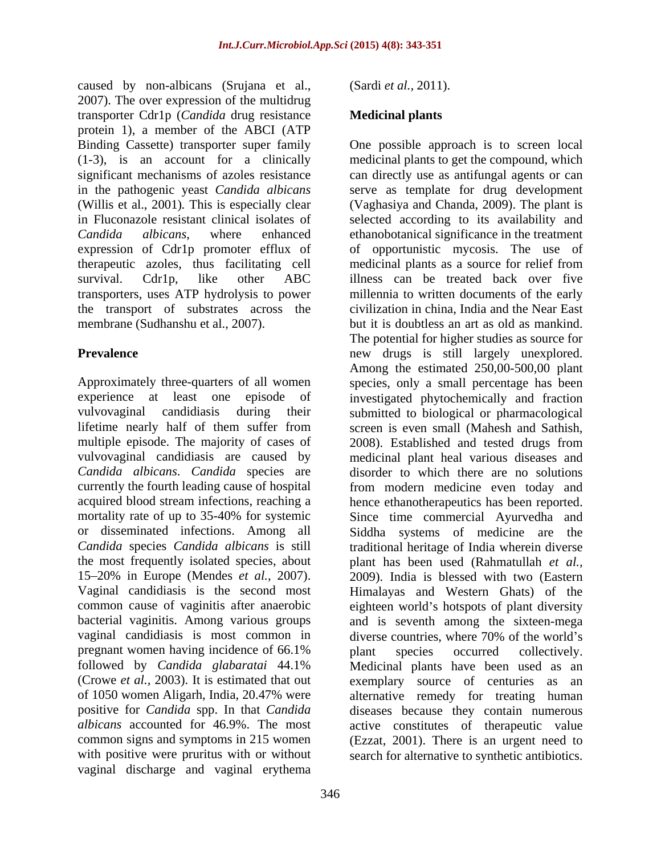caused by non-albicans (Srujana et al., 2007). The over expression of the multidrug transporter Cdr1p (*Candida* drug resistance protein 1), a member of the ABCI (ATP therapeutic azoles, thus facilitating cell transporters, uses ATP hydrolysis to power membrane (Sudhanshu et al., 2007). but it is doubtless an art as old as mankind.

*Candida albicans*. *Candida* species are 15 20% in Europe (Mendes *et al.,* 2007). common cause of vaginitis after anaerobic vaginal candidiasis is most common in diverse countries, where 70% of the world's pregnant women having incidence of 66.1% with positive were pruritus with or without search for alternative to synthetic antibiotics. vaginal discharge and vaginal erythema

(Sardi *et al.,* 2011).

## **Medicinal plants**

Binding Cassette) transporter super family One possible approach is to screen local (1-3), is an account for a clinically medicinal plants to get the compound, which significant mechanisms of azoles resistance can directly use as antifungal agents or can in the pathogenic yeast *Candida albicans* serve as template for drug development (Willis et al., 2001)*.* This is especially clear (Vaghasiya and Chanda, 2009). The plant is in Fluconazole resistant clinical isolates of selected according to its availability and *Candida albicans*, where enhanced ethanobotanical significance in the treatment expression of Cdr1p promoter efflux of of opportunistic mycosis. The use of survival. Cdr1p, like other ABC illness can be treated back over five the transport of substrates across the civilization in china, India and the Near East **Prevalence new** drugs is still largely unexplored. Approximately three-quarters of all women species, only a small percentage has been experience at least one episode of investigated phytochemically and fraction vulvovaginal candidiasis during their submitted to biological or pharmacological lifetime nearly half of them suffer from screen is even small (Mahesh and Sathish, multiple episode. The majority of cases of 2008). Established and tested drugs from vulvovaginal candidiasis are caused by medicinal plant heal various diseases and currently the fourth leading cause of hospital from modern medicine even today and acquired blood stream infections, reaching a hence ethanotherapeutics has been reported. mortality rate of up to 35-40% for systemic Since time commercial Ayurvedha and or disseminated infections. Among all Siddha systems of medicine are the *Candida* species *Candida albicans* is still traditional heritage of India wherein diverse the most frequently isolated species, about plant has been used (Rahmatullah *et al.,* Vaginal candidiasis is the second most Himalayas and Western Ghats) of the bacterial vaginitis. Among various groups and is seventh among the sixteen-mega followed by *Candida glabaratai* 44.1% Medicinal plants have been used as an (Crowe *et al.,* 2003). It is estimated that out exemplary source of centuries as an of 1050 women Aligarh, India, 20.47% were alternative remedy for treating human positive for *Candida* spp. In that *Candida*  diseases because they contain numerous albicans accounted for 46.9%. The most active constitutes of therapeutic value common signs and symptoms in 215 women (Ezzat, 2001). There is an urgent need to medicinal plants as a source for relief from millennia to written documents of the early but it is doubtless an art as old as mankind. The potential for higher studies as source for Among the estimated 250,00-500,00 plant disorder to which there are no solutions 2009). India is blessed with two (Eastern eighteen world's hotspots of plant diversity diverse countries, where 70% of the world's plant species occurred collectively.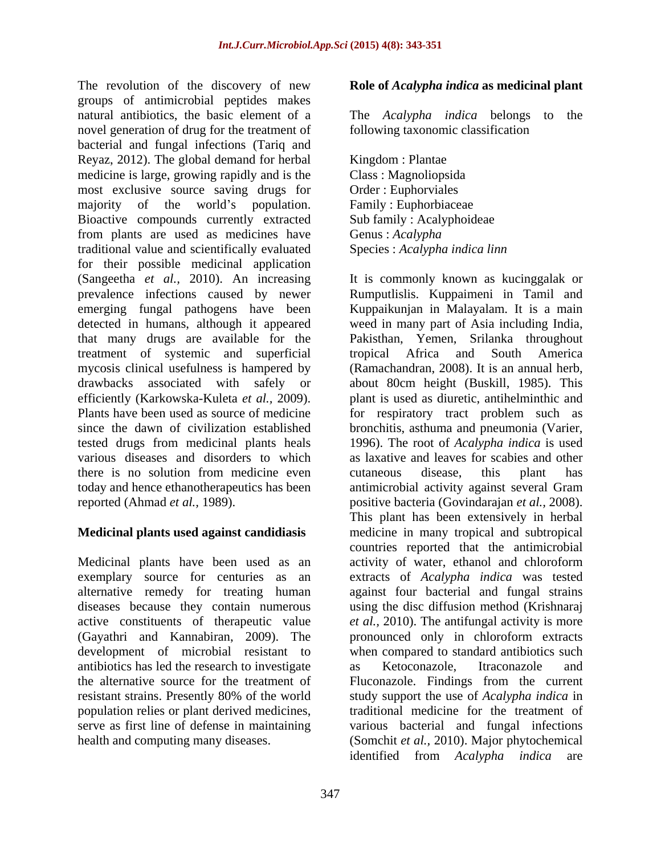The revolution of the discovery of new **Role of** *Acalypha indica* **as medicinal plant** groups of antimicrobial peptides makes natural antibiotics, the basic element of a The *Acalypha indica* belongs to the novel generation of drug for the treatment of bacterial and fungal infections (Tariq and Reyaz, 2012). The global demand for herbal medicine is large, growing rapidly and is the Class : Magnoliopsida most exclusive source saving drugs for majority of the world's population. Family: Euphorbiaceae Bioactive compounds currently extracted from plants are used as medicines have Genus: Acalypha traditional value and scientifically evaluated for their possible medicinal application that many drugs are available for the treatment of systemic and superficial today and hence ethanotherapeutics has been

alternative remedy for treating human development of microbial resistant to antibiotics has led the research to investigate population relies or plant derived medicines,

The *Acalypha indica* belongs to following taxonomic classification

Kingdom : Plantae Class : Magnoliopsida Order : Euphorviales Family : Euphorbiaceae Sub family : Acalyphoideae Genus : *Acalypha* Species : *Acalypha indica linn*

(Sangeetha *et al.,* 2010). An increasing It is commonly known as kucinggalak or prevalence infections caused by newer Rumputlislis. Kuppaimeni in Tamil and emerging fungal pathogens have been Kuppaikunjan in Malayalam. It is a main detected in humans, although it appeared weed in many part of Asia including India, mycosis clinical usefulness is hampered by (Ramachandran, 2008). It is an annual herb, drawbacks associated with safely or about 80cm height (Buskill, 1985). This efficiently (Karkowska-Kuleta *et al.,* 2009). plant is used as diuretic, antihelminthic and Plants have been used as source of medicine for respiratory tract problem such as since the dawn of civilization established bronchitis, asthuma and pneumonia (Varier, tested drugs from medicinal plants heals 1996). The root of *Acalypha indica* is used various diseases and disorders to which as laxative and leaves for scabies and other there is no solution from medicine even cutaneous disease, this plant has reported (Ahmad *et al.,* 1989). positive bacteria (Govindarajan *et al.,* 2008). **Medicinal plants used against candidiasis**  medicine in many tropical and subtropical Medicinal plants have been used as an activity of water, ethanol and chloroform exemplary source for centuries as an extracts of *Acalypha indica* was tested diseases because they contain numerous using the disc diffusion method (Krishnaraj active constituents of therapeutic value *et al.,* 2010). The antifungal activity is more (Gayathri and Kannabiran, 2009). The pronounced only in chloroform extracts the alternative source for the treatment of Fluconazole. Findings from the current resistant strains. Presently 80% of the world study support the use of *Acalypha indica* in serve as first line of defense in maintaining various bacterial and fungal infections health and computing many diseases. (Somchit *et al.,* 2010). Major phytochemical Pakisthan, Yemen, Srilanka throughout tropical Africa and South America cutaneous disease, this plant has antimicrobial activity against several Gram This plant has been extensively in herbal countries reported that the antimicrobial against four bacterial and fungal strains when compared to standard antibiotics such as Ketoconazole, Itraconazole and traditional medicine for the treatment of identified from *Acalypha indica* are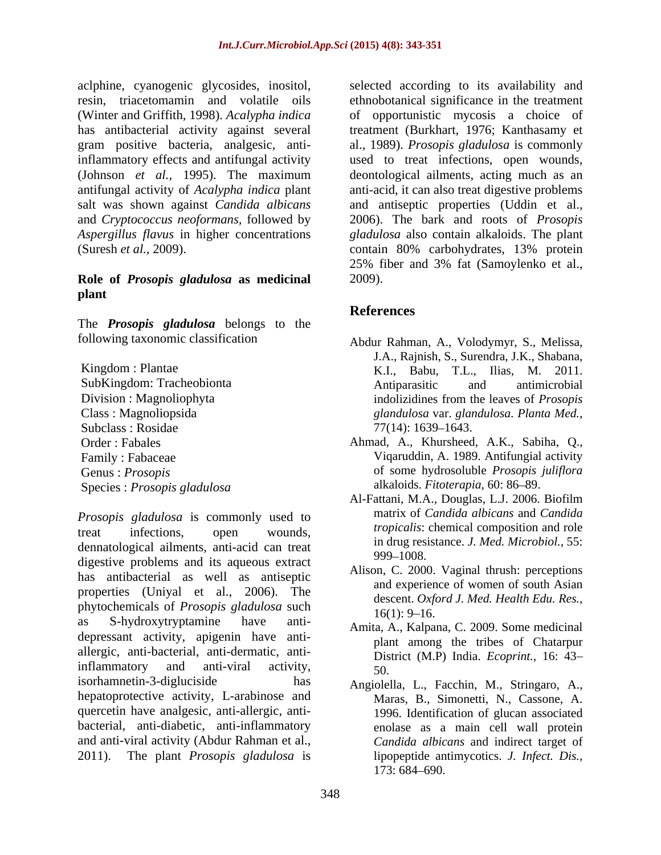aclphine, cyanogenic glycosides, inositol, inflammatory effects and antifungal activity used to treat infections, open wounds, (Johnson *et al.,* 1995). The maximum

### **Role of** *Prosopis gladulosa* **as medicinal plant**

The *Prosopis gladulosa* belongs to the

*Prosopis gladulosa* is commonly used to treat infections, open wounds, *tropicalls*: chemical composition and role dennatological ailments, anti-acid can treat digestive problems and its aqueous extract has antibacterial as well as antiseptic properties (Uniyal et al., 2006). The phytochemicals of *Prosopis* gladulosa such<br>16(1): 9–16. as S-hydroxytryptamine have anti-<br>Amita, A., Kalpana, C. 2009. Some medicinal depressant activity, apigenin have anti allergic, anti-bacterial, anti-dermatic, antiinflammatory and anti-viral activity,  $\frac{50}{20}$ isorhamnetin-3-digluciside has Angiolella, L., Facchin, M., Stringaro, A., hepatoprotective activity, L-arabinose and quercetin have analgesic, anti-allergic, anti- 2011). The plant *Prosopis gladulosa* is

resin, triacetomamin and volatile oils ethnobotanical significance in the treatment (Winter and Griffith, 1998). *Acalypha indica* of opportunistic mycosis a choice of has antibacterial activity against several treatment (Burkhart, 1976; Kanthasamy et gram positive bacteria, analgesic, anti-al., 1989). *Prosopis gladulosa* is commonly antifungal activity of *Acalypha indica* plant anti-acid, it can also treat digestive problems salt was shown against *Candida albicans* and antiseptic properties (Uddin et al., and *Cryptococcus neoformans,* followed by 2006). The bark and roots of *Prosopis Aspergillus flavus* in higher concentrations *gladulosa* also contain alkaloids. The plant (Suresh *et al.,* 2009). contain 80% carbohydrates, 13% protein selected according to its availability and used to treat infections, open wounds, deontological ailments, acting much as an 25% fiber and 3% fat (Samoylenko et al., 2009).

# **References**

- following taxonomic classification Abdur Rahman, A., Volodymyr, S., Melissa, Kingdom : Plantae SubKingdom: Tracheobionta Division : Magnoliophyta indolizidines from the leaves of *Prosopis* Class : Magnoliopsida *glandulosa* var. *glandulosa*. *Planta Med.,* Subclass : Rosidae  $77(14)$ : 1639–1643. J.A., Rajnish, S., Surendra, J.K., Shabana, K.I., Babu, T.L., Ilias, M. 2011. Antiparasitic and antimicrobial indolizidines from the leaves of *Prosopis*   $77(14)$ : 1639–1643.
- Order : Fabales Ahmad, A., Khursheed, A.K., Sabiha, Q., Family : Fabaceae Viqaruddin, A. 1989. Antifungial activity Genus : *Prosopis* of some hydrosoluble *Prosopis juliflora* alkaloids. *Fitoterapia*, 60: 86-89.
- Species : *Prosopis gladulosa*<br>Al-Fattani, M.A., Douglas, L.J. 2006. Biofilm Al-Fattani, M.A., Douglas, L.J. 2006. Biofilm matrix of *Candida albicans* and *Candida tropicalis*: chemical composition and role in drug resistance. *J. Med. Microbiol.,* 55: 999–1008.
	- Alison, C. 2000. Vaginal thrush: perceptions and experience of women of south Asian descent. *Oxford J. Med. Health Edu. Res.,*  $16(1)$ : 9–16.
	- plant among the tribes of Chatarpur District (M.P) India. *Ecoprint.,* 16: 43 50.
- bacterial, anti-diabetic, anti-inflammatory enolase as a main cell wall protein and anti-viral activity (Abdur Rahman et al., *Candida albicans* and indirect target of Maras, B., Simonetti, N., Cassone, A. 1996. Identification of glucan associated lipopeptide antimycotics. *J. Infect. Dis.,* 173: 684 690.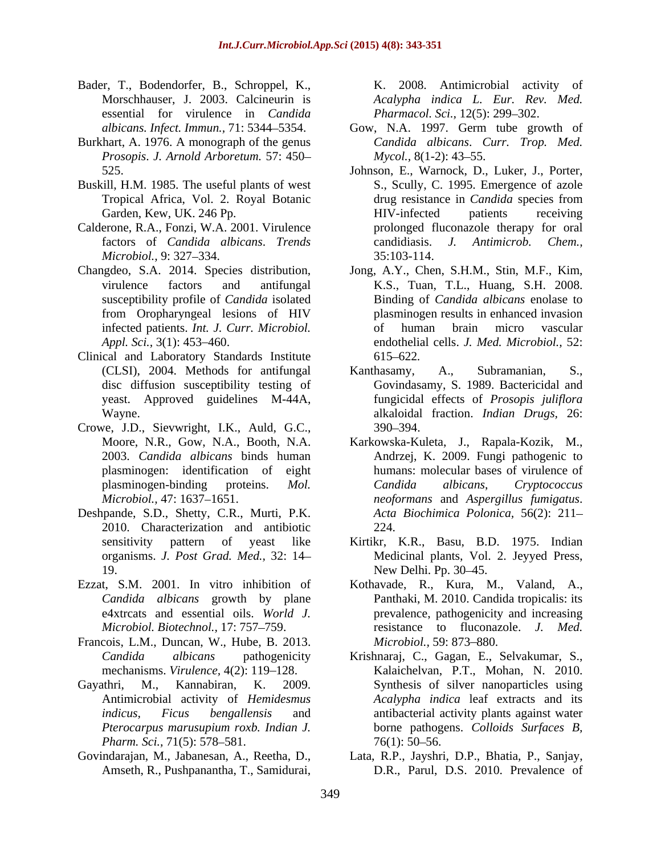- Bader, T., Bodendorfer, B., Schroppel, K., Morschhauser, J. 2003. Calcineurin is *Acalypha indica L. Eur. Rev. Med.* essential for virulence in *Candida*
- Burkhart, A. 1976. A monograph of the genus *Prosopis*. *J. Arnold Arboretum.* 57: 450
- Buskill, H.M. 1985. The useful plants of west
- Calderone, R.A., Fonzi, W.A. 2001. Virulence
- from Oropharyngeal lesions of HIV
- Clinical and Laboratory Standards Institute 615–622. disc diffusion susceptibility testing of
- Crowe, J.D., Sievwright, I.K., Auld, G.C.,
- Deshpande, S.D., Shetty, C.R., Murti, P.K. 2010. Characterization and antibiotic 19. New Delhi. Pp. 30–45.
- 
- Francois, L.M., Duncan, W., Hube, B. 2013.
- Antimicrobial activity of *Hemidesmus Pharm. Sci.,* 71(5): 578–581. 76(1): 50–56.
- 

K. 2008. Antimicrobial activity of *Pharmacol. Sci., 12(5): 299-302.* 

- *albicans. Infect. Immun.,* 71: 5344 5354. Gow, N.A. 1997. Germ tube growth of *Candida albicans*. *Curr. Trop. Med. Mycol.,* 8(1-2): 43–55.
- 525. Johnson, E., Warnock, D., Luker, J., Porter, Tropical Africa, Vol. 2. Royal Botanic drug resistance in *Candida* species from Garden, Kew, UK. 246 Pp. The Matter of HIV-infected patients receiving factors of *Candida albicans*. *Trends Microbiol.,* 9: 327–334. 35:103-114. S., Scully, C. 1995. Emergence of azole drug resistance in *Candida* species from HIV-infected patients receiving prolonged fluconazole therapy for oral candidiasis. *J. Antimicrob. Chem.,* 35:103-114.
- Changdeo, S.A. 2014. Species distribution, Jong, A.Y., Chen, S.H.M., Stin, M.F., Kim, virulence factors and antifungal K.S., Tuan, T.L., Huang, S.H. 2008. susceptibility profile of *Candida* isolated Binding of *Candida albicans* enolase to infected patients. *Int. J. Curr. Microbiol. Appl. Sci.,* 3(1): 453 460. endothelial cells. *J. Med. Microbiol.,* 52: plasminogen results in enhanced invasion of human brain micro vascular 615 622*.*
	- (CLSI), 2004. Methods for antifungal yeast. Approved guidelines M-44A, fungicidal effects of *Prosopis juliflora* Wayne. alkaloidal fraction. *Indian Drugs,* 26: Kanthasamy, A., Subramanian, S., Govindasamy, S. 1989. Bactericidal and 390 394.
	- Moore, N.R., Gow, N.A., Booth, N.A. Karkowska-Kuleta, J., Rapala-Kozik, M., 2003. *Candida albicans* binds human Andrzej, K. 2009. Fungi pathogenic to plasminogen: identification of eight humans: molecular bases of virulence of plasminogen-binding proteins. *Mol. Microbiol.,* 47: 1637 1651. *neoformans* and *Aspergillus fumigatus*. *Candida albicans*, *Cryptococcus Acta Biochimica Polonica,* 56(2): 211 224.
	- sensitivity pattern of yeast like Kirtikr, K.R., Basu, B.D. 1975. Indian organisms. *J. Post Grad. Med.,* 32: 14 Medicinal plants, Vol. 2. Jeyyed Press, New Delhi. Pp. 30–45.
- Ezzat, S.M. 2001. In vitro inhibition of Kothavade, R., Kura, M., Valand, A., *Candida albicans* growth by plane Panthaki, M. 2010. Candida tropicalis: its e4xtrcats and essential oils. *World J*. prevalence, pathogenicity and increasing *Microbiol. Biotechnol.,* 17: 757 759. resistance to fluconazole. *J. Med. Microbiol.,* 59: 873–880.
- *Candida albicans* pathogenicity Krishnaraj, C., Gagan, E., Selvakumar, S., mechanisms. *Virulence*, 4(2): 119–128. Kalaichelvan, P.T., Mohan, N. 2010. Gayathri, M., Kannabiran, K. 2009. Synthesis of silver nanoparticles using *indicus, Ficus bengallensis* and antibacterial activity plants against water *Pterocarpus marusupium roxb. Indian J.* borne pathogens. *Colloids Surfaces B, Acalypha indica* leaf extracts and its  $76(1)$ : 50–56.
- Govindarajan, M., Jabanesan, A., Reetha, D., Lata, R.P., Jayshri, D.P., Bhatia, P., Sanjay, Amseth, R., Pushpanantha, T., Samidurai, D.R., Parul, D.S. 2010. Prevalence of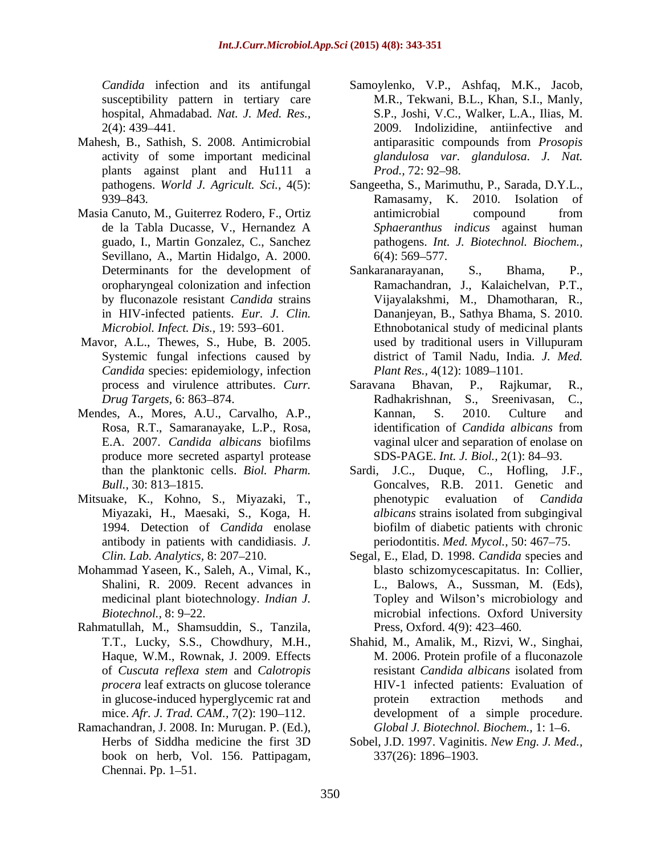hospital, Ahmadabad. *Nat. J. Med. Res.,*

- plants against plant and Hu111 a Prod., 72: 92-98.
- guado, I., Martin Gonzalez, C., Sanchez Sevillano, A., Martin Hidalgo, A. 2000. 6(4): 569–577. in HIV-infected patients. *Eur. J. Clin.*
- *Candida* species: epidemiology, infection *Plant Res.*, 4(12): 1089–1101.
- E.A. 2007. *Candida albicans* biofilms produce more secreted aspartyl protease
- Mitsuake, K., Kohno, S., Miyazaki, T., beinding phenotypic evaluation of *Candida* antibody in patients with candidiasis. *J.*
- Mohammad Yaseen, K., Saleh, A., Vimal, K., medicinal plant biotechnology. *Indian J.*
- Rahmatullah, M., Shamsuddin, S., Tanzila,
- Ramachandran, J. 2008. In: Murugan. P. (Ed.), book on herb, Vol. 156. Pattipagam,  $Chennai.$  Pp. 1–51.
- *Candida* infection and its antifungal Samoylenko, V.P., Ashfaq, M.K., Jacob, susceptibility pattern in tertiary care M.R., Tekwani, B.L., Khan, S.I., Manly, 2(4): 439 441. 2009. Indolizidine, antiinfective and Mahesh, B., Sathish, S. 2008. Antimicrobial antiparasitic compounds from *Prosopis* activity of some important medicinal *glandulosa var. glandulosa*. *J. Nat.*  S.P., Joshi, V.C., Walker, L.A., Ilias, M. antiparasitic compounds from *Prosopis Prod.,* 72: 92–98.
- pathogens. *World J. Agricult. Sci.,* 4(5): Sangeetha, S., Marimuthu, P., Sarada, D.Y.L., 939–843. **Ramasamy**, K. 2010. Isolation of Masia Canuto, M., Guiterrez Rodero, F., Ortiz de la Tabla Ducasse, V., Hernandez A *Sphaeranthus indicus* against human Ramasamy, K. 2010. Isolation of antimicrobial compound from pathogens. *Int. J. Biotechnol. Biochem.,*  $6(4)$ : 569–577.
- Determinants for the development of Sankaranarayanan, S., Bhama, P., oropharyngeal colonization and infection Ramachandran, J., Kalaichelvan, P.T., by fluconazole resistant *Candida* strains Vijayalakshmi, M., Dhamotharan, R., *Microbiol. Infect. Dis.*, 19:593–601. **Ethnobotanical study of medicinal plants** Mavor, A.L., Thewes, S., Hube, B. 2005. used by traditional users in Villupuram Systemic fungal infections caused by district of Tamil Nadu, India. *J. Med.* Sankaranarayanan, Dananjeyan, B., Sathya Bhama, S. 2010. used by traditional users in Villupuram *Plant Res.,* 4(12): 1089–1101.
- process and virulence attributes. *Curr. Drug Targets,* 6: 863–874. **Radhakrishnan**, S., Sreenivasan, C., Mendes, A., Mores, A.U., Carvalho, A.P., Rosa, R.T., Samaranayake, L.P., Rosa, identification of *Candida albicans* from Saravana Bhavan, P., Rajkumar, R., Radhakrishnan, S., Sreenivasan, C., Kannan, S. 2010. Culture and identification of *Candida albicans* from vaginal ulcer and separation of enolase on SDS-PAGE. *Int. J. Biol.*, 2(1): 84–93.
	- than the planktonic cells. *Biol. Pharm.* Sardi, J.C., Duque, C., Hofling, J.F., *Bull.*, 30: 813–1815. **Goncalves**, R.B. 2011. Genetic and Miyazaki, H., Maesaki, S., Koga, H. 1994. Detection of *Candida* enolase biofilm of diabetic patients with chronic phenotypic evaluation of *Candida albicans* strains isolated from subgingival periodontitis. *Med. Mycol.*, 50: 467–75.
	- *Clin. Lab. Analytics,* 8: 207 210. Segal, E., Elad, D. 1998. *Candida* species and Shalini, R. 2009. Recent advances in L., Balows, A., Sussman, M. (Eds), *Biotechnol.*, 8: 9–22. The microbial infections. Oxford University blasto schizomycescapitatus. In: Collier, Topley and Wilson's microbiology and Press, Oxford. 4(9): 423 460*.*
	- T.T., Lucky, S.S., Chowdhury, M.H., Shahid, M., Amalik, M., Rizvi, W., Singhai, Haque, W.M., Rownak, J. 2009. Effects M. 2006. Protein profile of a fluconazole of *Cuscuta reflexa stem* and *Calotropis procera* leaf extracts on glucose tolerance HIV-1 infected patients: Evaluation of in glucose-induced hyperglycemic rat and  $\qquad$  protein extraction methods and mice. *Afr. J. Trad. CAM.*, 7(2): 190–112. development of a simple procedure. resistant *Candida albicans* isolated from protein extraction methods and *Global J. Biotechnol. Biochem., 1: 1-6.*
	- Herbs of Siddha medicine the first 3D Sobel, J.D. 1997. Vaginitis. *New Eng. J. Med.,*  337(26): 1896–1903.